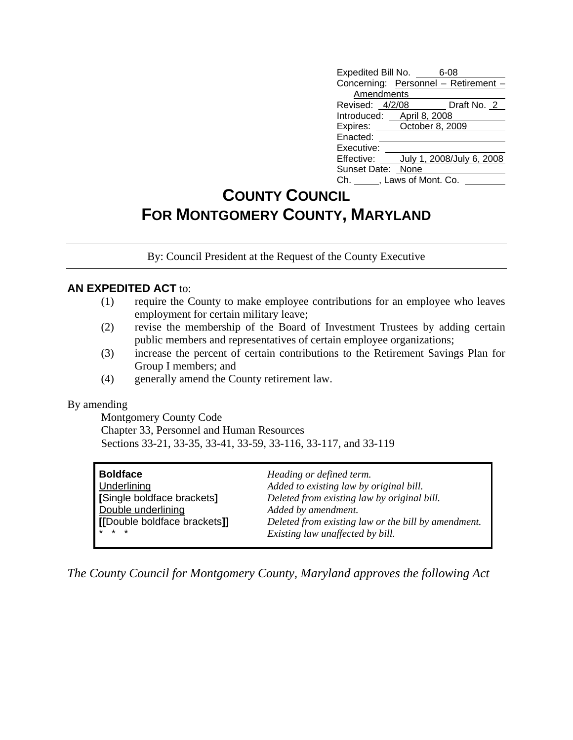| Expedited Bill No. _____        | 6-08                                 |
|---------------------------------|--------------------------------------|
|                                 | Concerning: Personnel - Retirement - |
| Amendments                      |                                      |
| Revised: 4/2/08                 | Draft No. 2                          |
| Introduced: April 8, 2008       |                                      |
| Expires: <b>October 8, 2009</b> |                                      |
| Enacted:                        |                                      |
| Executive:                      |                                      |
|                                 | Effective: July 1, 2008/July 6, 2008 |
| Sunset Date: None               |                                      |
| Ch. , Laws of Mont. Co.         |                                      |

## **COUNTY COUNCIL FOR MONTGOMERY COUNTY, MARYLAND**

By: Council President at the Request of the County Executive

## **AN EXPEDITED ACT** to:

- (1) require the County to make employee contributions for an employee who leaves employment for certain military leave;
- (2) revise the membership of the Board of Investment Trustees by adding certain public members and representatives of certain employee organizations;
- (3) increase the percent of certain contributions to the Retirement Savings Plan for Group I members; and
- (4) generally amend the County retirement law.

## By amending

 Montgomery County Code Chapter 33, Personnel and Human Resources Sections 33-21, 33-35, 33-41, 33-59, 33-116, 33-117, and 33-119

| <b>Boldface</b>              | Heading or defined term.                            |
|------------------------------|-----------------------------------------------------|
| <b>Underlining</b>           | Added to existing law by original bill.             |
| [Single boldface brackets]   | Deleted from existing law by original bill.         |
| Double underlining           | Added by amendment.                                 |
| [[Double boldface brackets]] | Deleted from existing law or the bill by amendment. |
| <b>x</b> * *                 | Existing law unaffected by bill.                    |

*The County Council for Montgomery County, Maryland approves the following Act*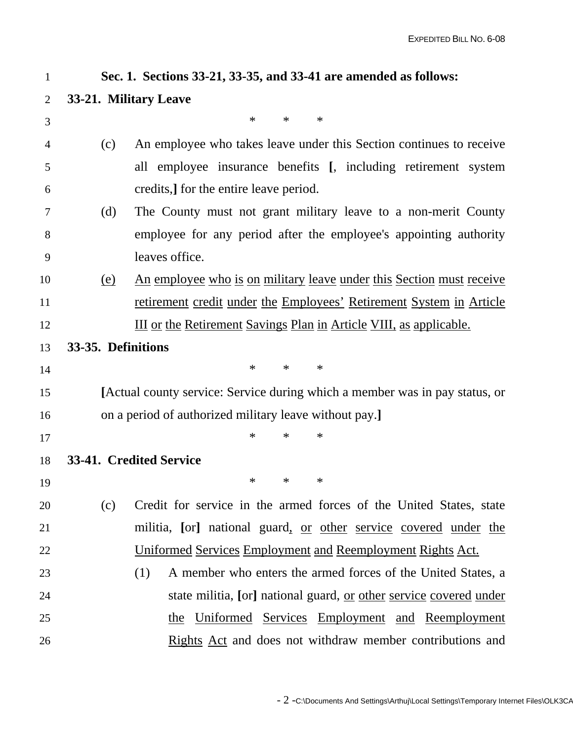| $\mathbf{1}$ |                    | Sec. 1. Sections 33-21, 33-35, and 33-41 are amended as follows:            |
|--------------|--------------------|-----------------------------------------------------------------------------|
| 2            |                    | 33-21. Military Leave                                                       |
| 3            |                    | $\ast$<br>$\ast$<br>$\ast$                                                  |
| 4            | (c)                | An employee who takes leave under this Section continues to receive         |
| 5            |                    | all employee insurance benefits [, including retirement system              |
| 6            |                    | credits, for the entire leave period.                                       |
| 7            | (d)                | The County must not grant military leave to a non-merit County              |
| 8            |                    | employee for any period after the employee's appointing authority           |
| 9            |                    | leaves office.                                                              |
| 10           | <u>(e)</u>         | <u>An employee who is on military leave under this Section must receive</u> |
| 11           |                    | retirement credit under the Employees' Retirement System in Article         |
| 12           |                    | <u>III or the Retirement Savings Plan in Article VIII, as applicable.</u>   |
| 13           | 33-35. Definitions |                                                                             |
| 14           |                    | $\ast$<br>$\ast$<br>$\ast$                                                  |
| 15           |                    | [Actual county service: Service during which a member was in pay status, or |
| 16           |                    | on a period of authorized military leave without pay.]                      |
| 17           |                    | $\ast$<br>$\ast$<br>$\ast$                                                  |
| 18           |                    | 33-41. Credited Service                                                     |
| 19           |                    | ∗<br>∗<br>$\ast$                                                            |
| 20           | (c)                | Credit for service in the armed forces of the United States, state          |
| 21           |                    | militia, [or] national guard, <u>or other service</u> covered under the     |
| 22           |                    | <u><b>Uniformed Services Employment and Reemployment Rights Act.</b></u>    |
| 23           |                    | A member who enters the armed forces of the United States, a<br>(1)         |
| 24           |                    | state militia, [or] national guard, or other service covered under          |
| 25           |                    | Uniformed Services Employment and Reemployment<br>the                       |
| 26           |                    | Rights Act and does not withdraw member contributions and                   |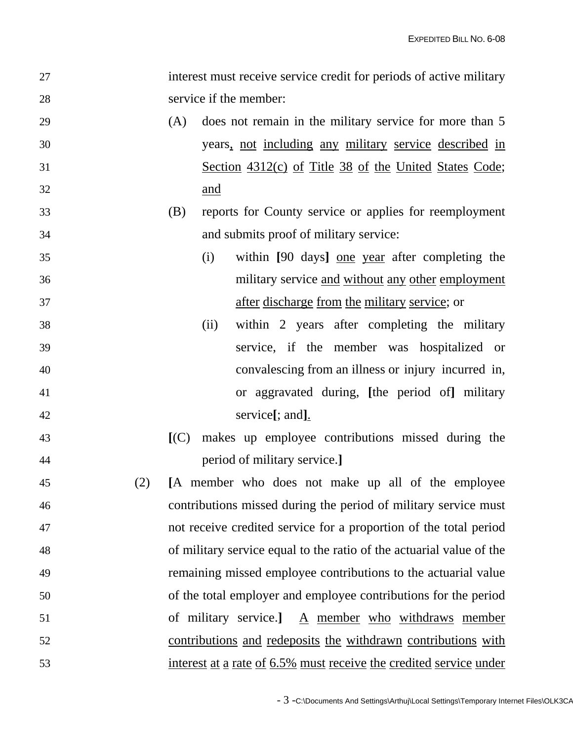| 27 |     |     | interest must receive service credit for periods of active military  |
|----|-----|-----|----------------------------------------------------------------------|
| 28 |     |     | service if the member:                                               |
| 29 |     | (A) | does not remain in the military service for more than 5              |
| 30 |     |     | years, not including any military service described in               |
| 31 |     |     | Section 4312(c) of Title 38 of the United States Code;               |
| 32 |     |     | and                                                                  |
| 33 |     | (B) | reports for County service or applies for reemployment               |
| 34 |     |     | and submits proof of military service:                               |
| 35 |     |     | within [90 days] one year after completing the<br>(i)                |
| 36 |     |     | military service and without any other employment                    |
| 37 |     |     | after discharge from the military service; or                        |
| 38 |     |     | within 2 years after completing the military<br>(ii)                 |
| 39 |     |     | service, if the member was hospitalized or                           |
| 40 |     |     | convalescing from an illness or injury incurred in,                  |
| 41 |     |     | or aggravated during, [the period of] military                       |
| 42 |     |     | service[; and].                                                      |
| 43 |     | (C) | makes up employee contributions missed during the                    |
| 44 |     |     | period of military service.                                          |
| 45 | (2) |     | [A member who does not make up all of the employee                   |
| 46 |     |     | contributions missed during the period of military service must      |
| 47 |     |     | not receive credited service for a proportion of the total period    |
| 48 |     |     | of military service equal to the ratio of the actuarial value of the |
| 49 |     |     | remaining missed employee contributions to the actuarial value       |
| 50 |     |     | of the total employer and employee contributions for the period      |
| 51 |     |     | of military service.]<br>A member who withdraws member               |
| 52 |     |     | <u>contributions</u> and redeposits the withdrawn contributions with |
| 53 |     |     | interest at a rate of 6.5% must receive the credited service under   |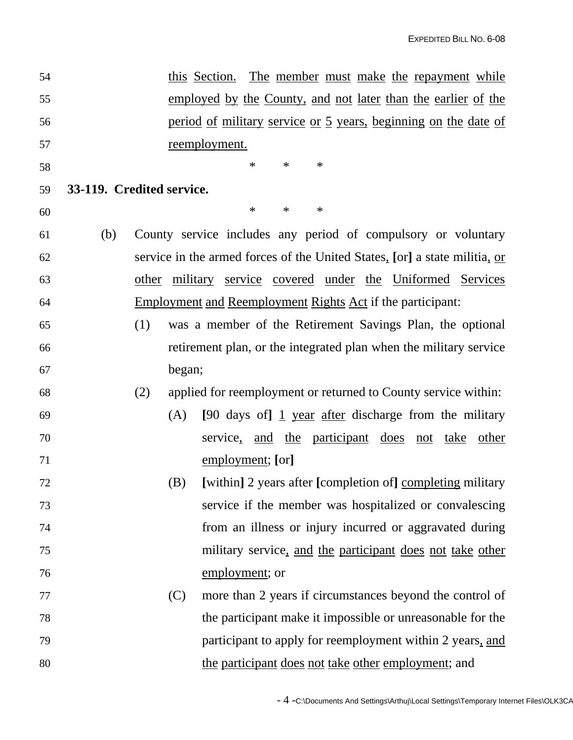| 54 |                           |     |        | this Section. The member must make the repayment while                     |
|----|---------------------------|-----|--------|----------------------------------------------------------------------------|
| 55 |                           |     |        | employed by the County, and not later than the earlier of the              |
| 56 |                           |     |        | period of military service or 5 years, beginning on the date of            |
| 57 |                           |     |        | reemployment.                                                              |
| 58 |                           |     |        | $\ast$<br>$\ast$<br>$\ast$                                                 |
| 59 | 33-119. Credited service. |     |        |                                                                            |
| 60 |                           |     |        | $\ast$<br>$\ast$<br>$\ast$                                                 |
| 61 | (b)                       |     |        | County service includes any period of compulsory or voluntary              |
| 62 |                           |     |        | service in the armed forces of the United States, [or] a state militia, or |
| 63 |                           |     |        | other military service covered under the Uniformed Services                |
| 64 |                           |     |        | <b>Employment and Reemployment Rights Act if the participant:</b>          |
| 65 |                           | (1) |        | was a member of the Retirement Savings Plan, the optional                  |
| 66 |                           |     |        | retirement plan, or the integrated plan when the military service          |
| 67 |                           |     | began; |                                                                            |
| 68 |                           | (2) |        | applied for reemployment or returned to County service within:             |
| 69 |                           |     | (A)    | [90 days of] $\frac{1}{1}$ year after discharge from the military          |
| 70 |                           |     |        | service, and the participant does<br><u>not</u> take<br>other              |
| 71 |                           |     |        | employment; [or]                                                           |
| 72 |                           |     | (B)    | [within] 2 years after [completion of] completing military                 |
| 73 |                           |     |        | service if the member was hospitalized or convalescing                     |
| 74 |                           |     |        | from an illness or injury incurred or aggravated during                    |
| 75 |                           |     |        | military service, and the participant does not take other                  |
| 76 |                           |     |        | employment; or                                                             |
| 77 |                           |     | (C)    | more than 2 years if circumstances beyond the control of                   |
| 78 |                           |     |        | the participant make it impossible or unreasonable for the                 |
| 79 |                           |     |        | participant to apply for reemployment within 2 years, and                  |
| 80 |                           |     |        | the participant does not take other employment; and                        |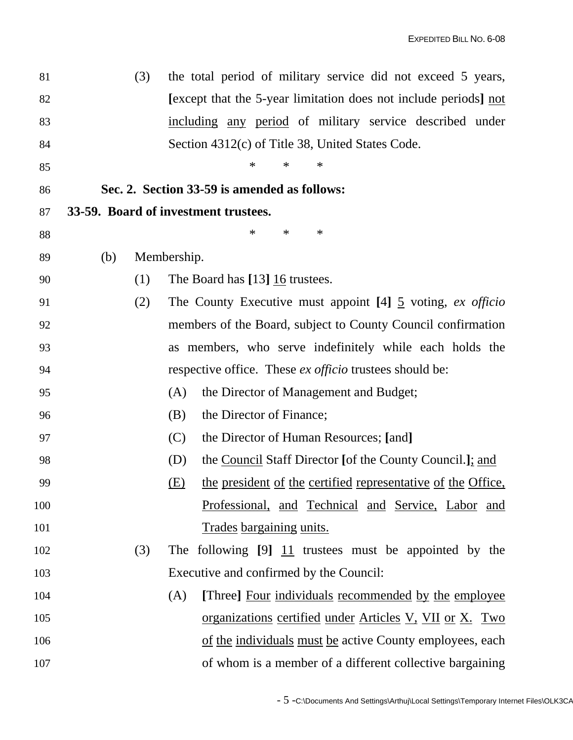| 81  |     | (3) |             | the total period of military service did not exceed 5 years,           |
|-----|-----|-----|-------------|------------------------------------------------------------------------|
| 82  |     |     |             | [except that the 5-year limitation does not include periods] not       |
| 83  |     |     |             | including any period of military service described under               |
| 84  |     |     |             | Section 4312(c) of Title 38, United States Code.                       |
| 85  |     |     |             | $\ast$<br>$\ast$<br>∗                                                  |
| 86  |     |     |             | Sec. 2. Section 33-59 is amended as follows:                           |
| 87  |     |     |             | 33-59. Board of investment trustees.                                   |
| 88  |     |     |             | $\ast$<br>$\ast$<br>$\ast$                                             |
| 89  | (b) |     | Membership. |                                                                        |
| 90  |     | (1) |             | The Board has [13] 16 trustees.                                        |
| 91  |     | (2) |             | The County Executive must appoint [4] $\frac{5}{2}$ voting, ex officio |
| 92  |     |     |             | members of the Board, subject to County Council confirmation           |
| 93  |     |     |             | as members, who serve indefinitely while each holds the                |
| 94  |     |     |             | respective office. These <i>ex officio</i> trustees should be:         |
| 95  |     |     | (A)         | the Director of Management and Budget;                                 |
| 96  |     |     | (B)         | the Director of Finance;                                               |
| 97  |     |     | (C)         | the Director of Human Resources; [and]                                 |
| 98  |     |     | (D)         | the Council Staff Director [of the County Council.]; and               |
| 99  |     |     | (E)         | the president of the certified representative of the Office,           |
| 100 |     |     |             | Professional, and Technical and Service, Labor and                     |
| 101 |     |     |             | Trades bargaining units.                                               |
| 102 |     | (3) |             | The following $[9]$ $\overline{11}$ trustees must be appointed by the  |
| 103 |     |     |             | Executive and confirmed by the Council:                                |
| 104 |     |     | (A)         | [Three] Four individuals recommended by the employee                   |
| 105 |     |     |             | <u>organizations certified under Articles V, VII or X. Two</u>         |
| 106 |     |     |             | of the individuals must be active County employees, each               |
| 107 |     |     |             | of whom is a member of a different collective bargaining               |
|     |     |     |             |                                                                        |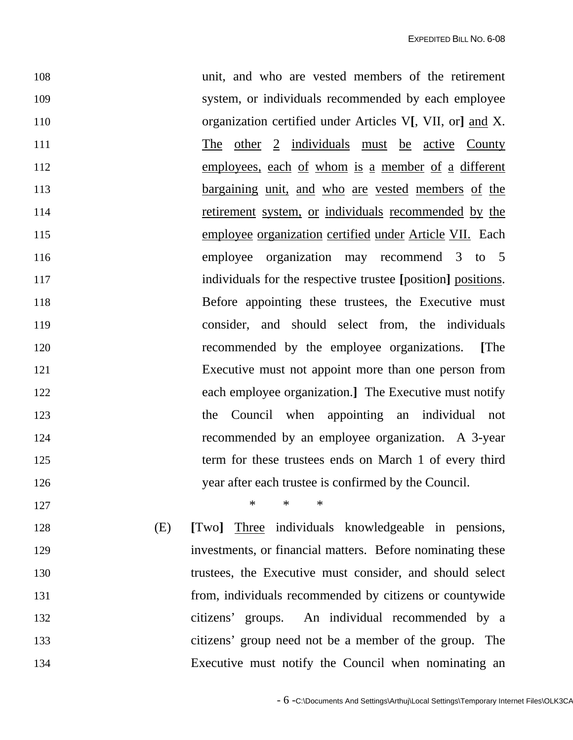108 unit, and who are vested members of the retirement 109 system, or individuals recommended by each employee 110 organization certified under Articles V**[**, VII, or**]** and X. 111 The other 2 individuals must be active County 112 employees, each of whom is a member of a different 113 bargaining unit, and who are vested members of the 114 retirement system, or individuals recommended by the 115 employee organization certified under Article VII. Each 116 employee organization may recommend 3 to 5 117 individuals for the respective trustee **[**position**]** positions. 118 Before appointing these trustees, the Executive must 119 consider, and should select from, the individuals 120 recommended by the employee organizations. **[**The 121 Executive must not appoint more than one person from 122 each employee organization.**]** The Executive must notify 123 the Council when appointing an individual not 124 recommended by an employee organization. A 3-year 125 term for these trustees ends on March 1 of every third 126 year after each trustee is confirmed by the Council. 127 \* \* \*

128 (E) **[**Two**]** Three individuals knowledgeable in pensions, 129 investments, or financial matters. Before nominating these 130 trustees, the Executive must consider, and should select 131 from, individuals recommended by citizens or countywide 132 citizens' groups. An individual recommended by a 133 citizens' group need not be a member of the group. The 134 Executive must notify the Council when nominating an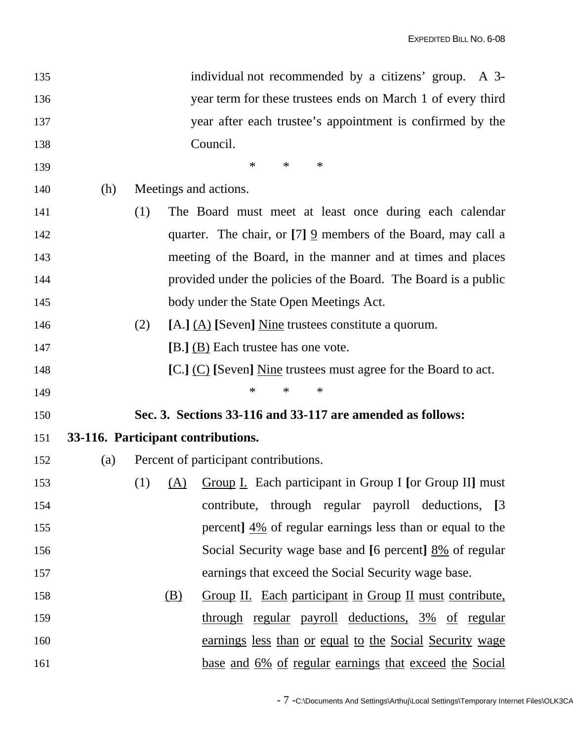| 135 |                                    |     |            | individual not recommended by a citizens' group. A 3-                  |
|-----|------------------------------------|-----|------------|------------------------------------------------------------------------|
| 136 |                                    |     |            | year term for these trustees ends on March 1 of every third            |
| 137 |                                    |     |            | year after each trustee's appointment is confirmed by the              |
| 138 |                                    |     |            | Council.                                                               |
| 139 |                                    |     |            | $\ast$<br>$\ast$<br>$\ast$                                             |
| 140 | (h)                                |     |            | Meetings and actions.                                                  |
| 141 |                                    | (1) |            | The Board must meet at least once during each calendar                 |
| 142 |                                    |     |            | quarter. The chair, or $[7]$ 9 members of the Board, may call a        |
| 143 |                                    |     |            | meeting of the Board, in the manner and at times and places            |
| 144 |                                    |     |            | provided under the policies of the Board. The Board is a public        |
| 145 |                                    |     |            | body under the State Open Meetings Act.                                |
| 146 |                                    | (2) |            | [A.] $(\underline{A})$ [Seven] Nine trustees constitute a quorum.      |
| 147 |                                    |     |            | [B.] (B) Each trustee has one vote.                                    |
| 148 |                                    |     |            | [C.] (C) [Seven] Nine trustees must agree for the Board to act.        |
| 149 |                                    |     |            | $\ast$<br>$\ast$<br>$\ast$                                             |
| 150 |                                    |     |            | Sec. 3. Sections 33-116 and 33-117 are amended as follows:             |
| 151 | 33-116. Participant contributions. |     |            |                                                                        |
| 152 | (a)                                |     |            | Percent of participant contributions.                                  |
| 153 |                                    |     |            | (1) $(A)$ Group I. Each participant in Group I [or Group II] must      |
| 154 |                                    |     |            | contribute, through regular payroll deductions, [3]                    |
| 155 |                                    |     |            | percent] $\frac{4\%}{2}$ of regular earnings less than or equal to the |
| 156 |                                    |     |            | Social Security wage base and [6 percent] 8% of regular                |
| 157 |                                    |     |            | earnings that exceed the Social Security wage base.                    |
| 158 |                                    |     | <u>(B)</u> | Group II. Each participant in Group II must contribute,                |
| 159 |                                    |     |            | through regular payroll deductions, 3% of regular                      |
| 160 |                                    |     |            | <u>earnings less than or equal to the Social Security wage</u>         |
| 161 |                                    |     |            | <u>base and 6% of regular earnings that exceed the Social</u>          |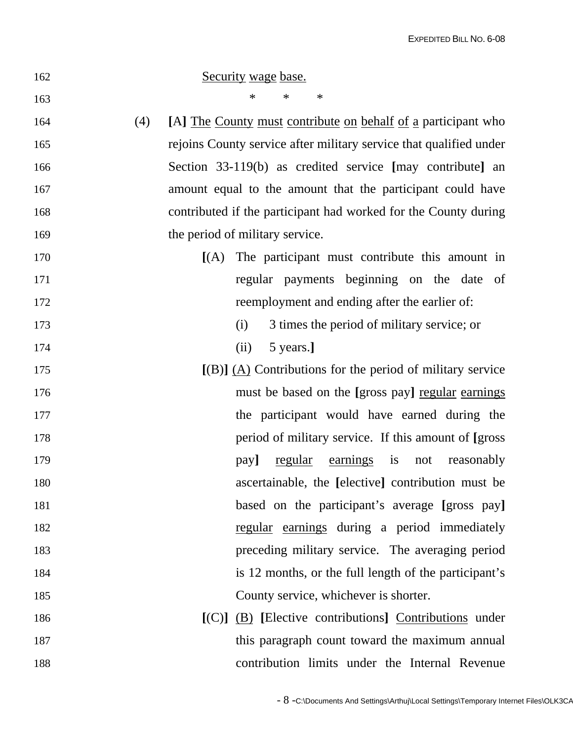| 162        | Security wage base.                                                |
|------------|--------------------------------------------------------------------|
| 163        | $\ast$<br>$\ast$<br>$\ast$                                         |
| (4)<br>164 | [A] The County must contribute on behalf of a participant who      |
| 165        | rejoins County service after military service that qualified under |
| 166        | Section 33-119(b) as credited service [may contribute] an          |
| 167        | amount equal to the amount that the participant could have         |
| 168        | contributed if the participant had worked for the County during    |
| 169        | the period of military service.                                    |
| 170        | $[(A)$ The participant must contribute this amount in              |
| 171        | regular payments beginning on the date of                          |
| 172        | reemployment and ending after the earlier of:                      |
| 173        | 3 times the period of military service; or<br>(i)                  |
| 174        | 5 years.]<br>(ii)                                                  |
| 175        | $[(B)]$ $(A)$ Contributions for the period of military service     |
| 176        | must be based on the [gross pay] regular earnings                  |
| 177        | the participant would have earned during the                       |
| 178        | period of military service. If this amount of [gross]              |
| 179        | earnings is<br>regular<br>reasonably<br>pay]<br>not                |
| 180        | ascertainable, the [elective] contribution must be                 |
| 181        | based on the participant's average [gross pay]                     |
| 182        | regular earnings during a period immediately                       |
| 183        | preceding military service. The averaging period                   |
| 184        | is 12 months, or the full length of the participant's              |
| 185        | County service, whichever is shorter.                              |
| 186        | $[(C)]$ $(B)$ [Elective contributions] Contributions under         |
| 187        | this paragraph count toward the maximum annual                     |
| 188        | contribution limits under the Internal Revenue                     |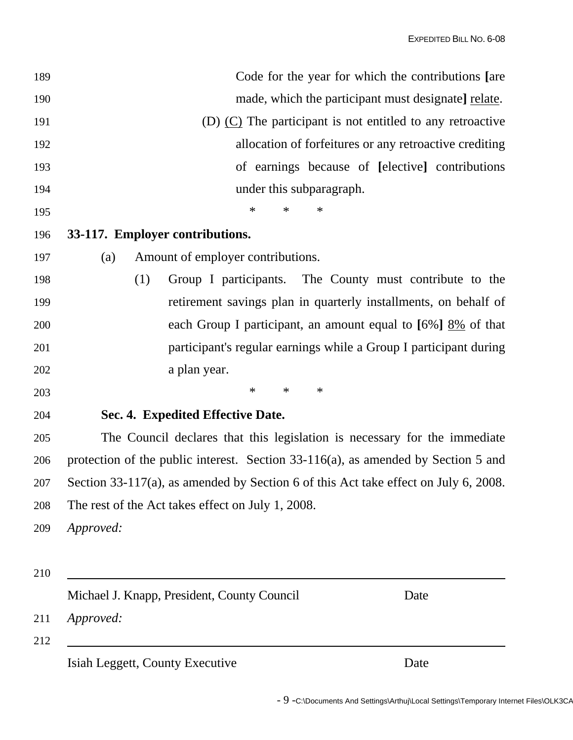| 189 | Code for the year for which the contributions [are                                  |
|-----|-------------------------------------------------------------------------------------|
| 190 | made, which the participant must designate] relate.                                 |
| 191 | (D) $(C)$ The participant is not entitled to any retroactive                        |
| 192 | allocation of forfeitures or any retroactive crediting                              |
| 193 | of earnings because of [elective] contributions                                     |
| 194 | under this subparagraph.                                                            |
| 195 | $\ast$<br>$\ast$<br>$\ast$                                                          |
| 196 | 33-117. Employer contributions.                                                     |
| 197 | Amount of employer contributions.<br>(a)                                            |
| 198 | (1)<br>Group I participants. The County must contribute to the                      |
| 199 | retirement savings plan in quarterly installments, on behalf of                     |
| 200 | each Group I participant, an amount equal to $[6\%]$ $8\%$ of that                  |
| 201 | participant's regular earnings while a Group I participant during                   |
| 202 | a plan year.                                                                        |
| 203 | $\ast$<br>$\ast$<br>$\ast$                                                          |
| 204 | Sec. 4. Expedited Effective Date.                                                   |
| 205 | The Council declares that this legislation is necessary for the immediate           |
| 206 | protection of the public interest. Section 33-116(a), as amended by Section 5 and   |
| 207 | Section 33-117(a), as amended by Section 6 of this Act take effect on July 6, 2008. |
| 208 | The rest of the Act takes effect on July 1, 2008.                                   |
| 209 | Approved:                                                                           |
|     |                                                                                     |
| 210 |                                                                                     |
|     | Michael J. Knapp, President, County Council<br>Date                                 |
| 211 | Approved:                                                                           |
| 212 | Isiah Leggett, County Executive<br>Date                                             |